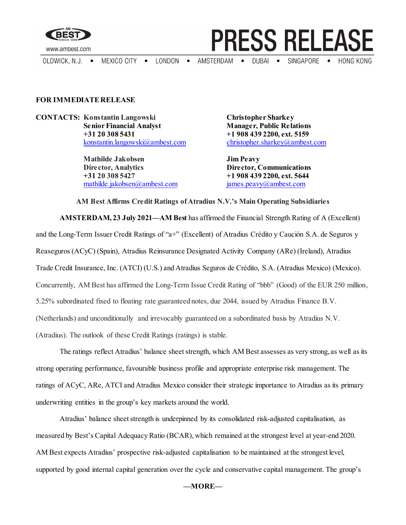

OLDWICK, N.J.  $\bullet$ 

MEXICO CITY . LONDON .

AMSTERDAM . DUBAI .

## **FOR IMMEDIATE RELEASE**

**CONTACTS:** Konstantin Langowski<br> **Christopher Sharkey**<br> **Christopher Sharkey**<br> **Christopher Sharkey**<br> **Christopher Sharkey +31 20 308 5431 +1 908 439 2200, ext. 5159** [konstantin.langowski@ambest.com](mailto:konstantin.langowski@ambest.com)

> **Mathilde Jakobsen Jim Peavy Director, Analytics Director, Communications +31 20 308 5427 +1 908 439 2200, ext. 5644** [mathilde.jakobsen@ambest.com](mailto:mathilde.jakobsen@ambest.com) [james.peavy@ambest.com](mailto:james.peavy@ambest.com)

**Manager, Public Relations** 

**PRESS RELEASE** 

SINGAPORE •

**HONG KONG** 

**AMSTERDAM, 23 July 2021—AM Best** has affirmed the Financial Strength Rating of A (Excellent) and the Long-Term Issuer Credit Ratings of "a+" (Excellent) of Atradius Crédito y Caución S.A. de Seguros y Reaseguros (ACyC) (Spain), Atradius Reinsurance Designated Activity Company (ARe) (Ireland), Atradius Trade Credit Insurance, Inc. (ATCI) (U.S.) and Atradius Seguros de Crédito, S.A. (Atradius Mexico) (Mexico). Concurrently, AM Best has affirmed the Long-Term Issue Credit Rating of "bbb" (Good) of the EUR 250 million, 5.25% subordinated fixed to floating rate guaranteed notes, due 2044, issued by Atradius Finance B.V. (Netherlands) and unconditionally and irrevocably guaranteed on a subordinated basis by Atradius N.V. (Atradius). The outlook of these Credit Ratings (ratings) is stable.

**AM Best Affirms Credit Ratings of Atradius N.V.'s Main Operating Subsidiaries**

The ratings reflect Atradius' balance sheet strength, which AM Best assesses as very strong, as well as its strong operating performance, favourable business profile and appropriate enterprise risk management. The ratings of ACyC, ARe, ATCI and Atradius Mexico consider their strategic importance to Atradius as its primary underwriting entities in the group's key markets around the world.

Atradius' balance sheet strength is underpinned by its consolidated risk-adjusted capitalisation, as measured by Best's Capital Adequacy Ratio (BCAR), which remained at the strongest level at year-end 2020. AM Best expects Atradius' prospective risk-adjusted capitalisation to be maintained at the strongest level, supported by good internal capital generation over the cycle and conservative capital management. The group's

## **—MORE—**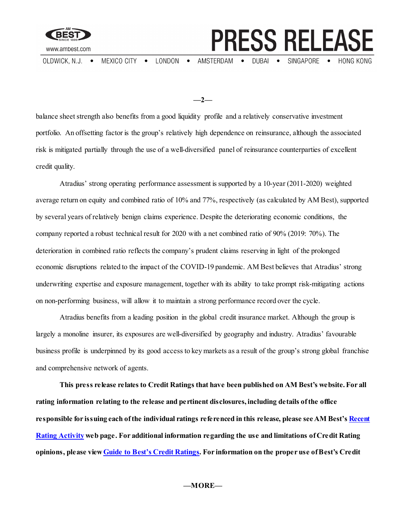

OLDWICK, N.J. .

MEXICO CITY

 $\bullet$ 

LONDON • AMSTERDAM . DUBAI . SINGAPORE •

**PRESS RELEASE** 

**HONG KONG** 

**—2—**

balance sheet strength also benefits from a good liquidity profile and a relatively conservative investment portfolio. An offsetting factor is the group's relatively high dependence on reinsurance, although the associated risk is mitigated partially through the use of a well-diversified panel of reinsurance counterparties of excellent credit quality.

Atradius' strong operating performance assessment is supported by a 10-year (2011-2020) weighted average return on equity and combined ratio of 10% and 77%, respectively (as calculated by AM Best), supported by several years of relatively benign claims experience. Despite the deteriorating economic conditions, the company reported a robust technical result for 2020 with a net combined ratio of 90% (2019: 70%). The deterioration in combined ratio reflects the company's prudent claims reserving in light of the prolonged economic disruptions related to the impact of the COVID-19 pandemic. AM Best believes that Atradius' strong underwriting expertise and exposure management, together with its ability to take prompt risk-mitigating actions on non-performing business, will allow it to maintain a strong performance record over the cycle.

Atradius benefits from a leading position in the global credit insurance market. Although the group is largely a monoline insurer, its exposures are well-diversified by geography and industry. Atradius' favourable business profile is underpinned by its good access to key markets as a result of the group's strong global franchise and comprehensive network of agents.

**This press release relates to Credit Ratings that have been published on AM Best's website. For all rating information relating to the release and pertinent disclosures, including details of the office responsible for issuing each of the individual ratings referenced in this release, please see AM Best'[s Recent](http://ratings.ambest.com/ratingeventdisclosures.aspx)  [Rating Activity](http://ratings.ambest.com/ratingeventdisclosures.aspx) web page. For additional information regarding the use and limitations of Credit Rating opinions, please vie[w Guide to Best's Credit Ratings.](http://www3.ambest.com/ambv/ratingmethodology/OpenPDF.aspx?ri=1368) For information on the proper use of Best's Credit**